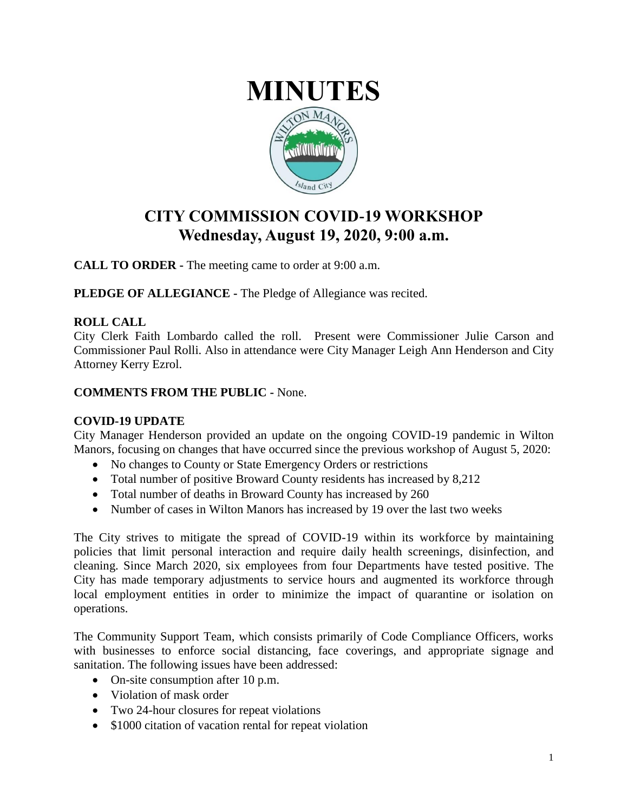

## **CITY COMMISSION COVID-19 WORKSHOP Wednesday, August 19, 2020, 9:00 a.m.**

**CALL TO ORDER -** The meeting came to order at 9:00 a.m.

**PLEDGE OF ALLEGIANCE -** The Pledge of Allegiance was recited.

## **ROLL CALL**

City Clerk Faith Lombardo called the roll. Present were Commissioner Julie Carson and Commissioner Paul Rolli. Also in attendance were City Manager Leigh Ann Henderson and City Attorney Kerry Ezrol.

## **COMMENTS FROM THE PUBLIC -** None.

## **COVID-19 UPDATE**

City Manager Henderson provided an update on the ongoing COVID-19 pandemic in Wilton Manors, focusing on changes that have occurred since the previous workshop of August 5, 2020:

- No changes to County or State Emergency Orders or restrictions
- Total number of positive Broward County residents has increased by 8,212
- Total number of deaths in Broward County has increased by 260
- Number of cases in Wilton Manors has increased by 19 over the last two weeks

The City strives to mitigate the spread of COVID-19 within its workforce by maintaining policies that limit personal interaction and require daily health screenings, disinfection, and cleaning. Since March 2020, six employees from four Departments have tested positive. The City has made temporary adjustments to service hours and augmented its workforce through local employment entities in order to minimize the impact of quarantine or isolation on operations.

The Community Support Team, which consists primarily of Code Compliance Officers, works with businesses to enforce social distancing, face coverings, and appropriate signage and sanitation. The following issues have been addressed:

- On-site consumption after 10 p.m.
- Violation of mask order
- Two 24-hour closures for repeat violations
- \$1000 citation of vacation rental for repeat violation